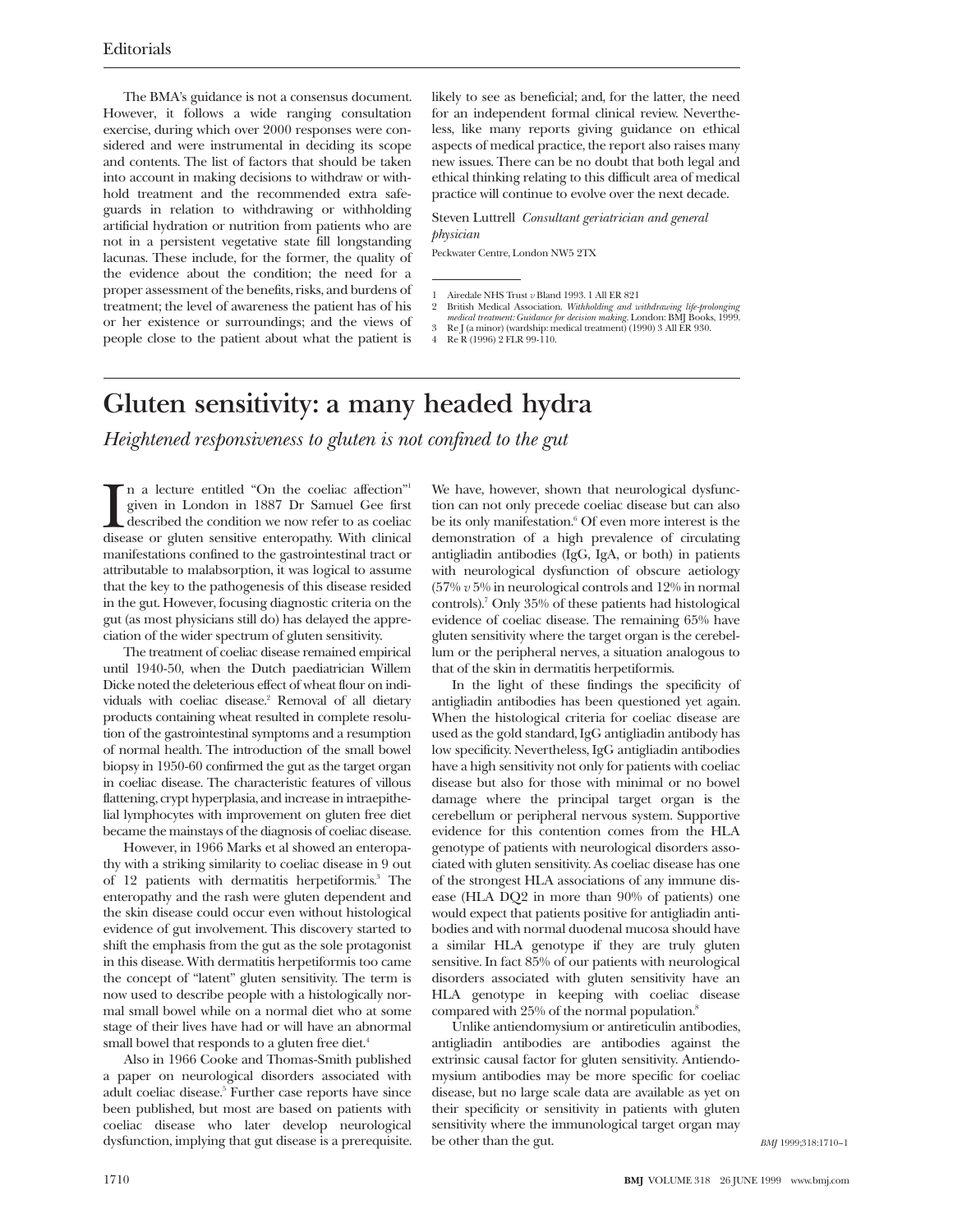The BMA's guidance is not a consensus document. However, it follows a wide ranging consultation exercise, during which over 2000 responses were considered and were instrumental in deciding its scope and contents. The list of factors that should be taken into account in making decisions to withdraw or withhold treatment and the recommended extra safeguards in relation to withdrawing or withholding artificial hydration or nutrition from patients who are not in a persistent vegetative state fill longstanding lacunas. These include, for the former, the quality of the evidence about the condition; the need for a proper assessment of the benefits, risks, and burdens of treatment; the level of awareness the patient has of his or her existence or surroundings; and the views of people close to the patient about what the patient is likely to see as beneficial; and, for the latter, the need for an independent formal clinical review. Nevertheless, like many reports giving guidance on ethical aspects of medical practice, the report also raises many new issues. There can be no doubt that both legal and ethical thinking relating to this difficult area of medical practice will continue to evolve over the next decade.

Steven Luttrell *Consultant geriatrician and general physician*

Peckwater Centre, London NW5 2TX

- 1 Airedale NHS Trust *v* Bland 1993. 1 All ER 821
- 
- 2 British Medical Association. *Withholding and withdrawing life-prolonging*<br>medical treatment: Guidance for decision making. London: BMJ Books, 1999.<br>3 Re J (a minor) (wardship: medical treatment) (1990) 3 All ER 930.
- 4 Re R (1996) 2 FLR 99-110.

## **Gluten sensitivity: a many headed hydra**

*Heightened responsiveness to gluten is not confined to the gut*

In a lecture entitled "On the coelac affection"<br>given in London in 1887 Dr Samuel Gee first<br>described the condition we now refer to as coeliac<br>disease or gluten sensitive enteropathy. With clinical n a lecture entitled "On the coeliac affection"1 given in London in 1887 Dr Samuel Gee first described the condition we now refer to as coeliac manifestations confined to the gastrointestinal tract or attributable to malabsorption, it was logical to assume that the key to the pathogenesis of this disease resided in the gut. However, focusing diagnostic criteria on the gut (as most physicians still do) has delayed the appreciation of the wider spectrum of gluten sensitivity.

The treatment of coeliac disease remained empirical until 1940-50, when the Dutch paediatrician Willem Dicke noted the deleterious effect of wheat flour on individuals with coeliac disease.<sup>2</sup> Removal of all dietary products containing wheat resulted in complete resolution of the gastrointestinal symptoms and a resumption of normal health. The introduction of the small bowel biopsy in 1950-60 confirmed the gut as the target organ in coeliac disease. The characteristic features of villous flattening, crypt hyperplasia, and increase in intraepithelial lymphocytes with improvement on gluten free diet became the mainstays of the diagnosis of coeliac disease.

However, in 1966 Marks et al showed an enteropathy with a striking similarity to coeliac disease in 9 out of 12 patients with dermatitis herpetiformis.<sup>3</sup> The enteropathy and the rash were gluten dependent and the skin disease could occur even without histological evidence of gut involvement. This discovery started to shift the emphasis from the gut as the sole protagonist in this disease. With dermatitis herpetiformis too came the concept of "latent" gluten sensitivity. The term is now used to describe people with a histologically normal small bowel while on a normal diet who at some stage of their lives have had or will have an abnormal small bowel that responds to a gluten free diet.<sup>4</sup>

Also in 1966 Cooke and Thomas-Smith published a paper on neurological disorders associated with adult coeliac disease.5 Further case reports have since been published, but most are based on patients with coeliac disease who later develop neurological dysfunction, implying that gut disease is a prerequisite.

We have, however, shown that neurological dysfunction can not only precede coeliac disease but can also be its only manifestation.<sup>6</sup> Of even more interest is the demonstration of a high prevalence of circulating antigliadin antibodies (IgG, IgA, or both) in patients with neurological dysfunction of obscure aetiology (57% *v* 5% in neurological controls and 12% in normal controls).7 Only 35% of these patients had histological evidence of coeliac disease. The remaining 65% have gluten sensitivity where the target organ is the cerebellum or the peripheral nerves, a situation analogous to that of the skin in dermatitis herpetiformis.

In the light of these findings the specificity of antigliadin antibodies has been questioned yet again. When the histological criteria for coeliac disease are used as the gold standard, IgG antigliadin antibody has low specificity. Nevertheless, IgG antigliadin antibodies have a high sensitivity not only for patients with coeliac disease but also for those with minimal or no bowel damage where the principal target organ is the cerebellum or peripheral nervous system. Supportive evidence for this contention comes from the HLA genotype of patients with neurological disorders associated with gluten sensitivity. As coeliac disease has one of the strongest HLA associations of any immune disease (HLA DQ2 in more than 90% of patients) one would expect that patients positive for antigliadin antibodies and with normal duodenal mucosa should have a similar HLA genotype if they are truly gluten sensitive. In fact 85% of our patients with neurological disorders associated with gluten sensitivity have an HLA genotype in keeping with coeliac disease compared with 25% of the normal population.<sup>8</sup>

Unlike antiendomysium or antireticulin antibodies, antigliadin antibodies are antibodies against the extrinsic causal factor for gluten sensitivity. Antiendomysium antibodies may be more specific for coeliac disease, but no large scale data are available as yet on their specificity or sensitivity in patients with gluten sensitivity where the immunological target organ may be other than the gut.